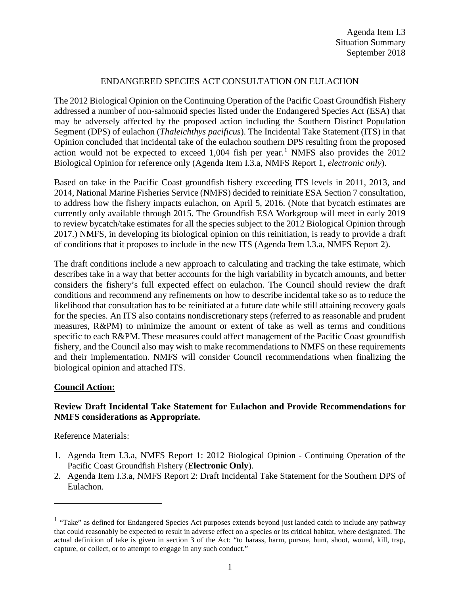# ENDANGERED SPECIES ACT CONSULTATION ON EULACHON

The 2012 Biological Opinion on the Continuing Operation of the Pacific Coast Groundfish Fishery addressed a number of non-salmonid species listed under the Endangered Species Act (ESA) that may be adversely affected by the proposed action including the Southern Distinct Population Segment (DPS) of eulachon (*Thaleichthys pacificus*). The Incidental Take Statement (ITS) in that Opinion concluded that incidental take of the eulachon southern DPS resulting from the proposed action would not be expected to exceed  $1,004$  $1,004$  fish per year.<sup>1</sup> NMFS also provides the 2012 Biological Opinion for reference only (Agenda Item I.3.a, NMFS Report 1, *electronic only*).

Based on take in the Pacific Coast groundfish fishery exceeding ITS levels in 2011, 2013, and 2014, National Marine Fisheries Service (NMFS) decided to reinitiate ESA Section 7 consultation, to address how the fishery impacts eulachon, on April 5, 2016. (Note that bycatch estimates are currently only available through 2015. The Groundfish ESA Workgroup will meet in early 2019 to review bycatch/take estimates for all the species subject to the 2012 Biological Opinion through 2017.) NMFS, in developing its biological opinion on this reinitiation, is ready to provide a draft of conditions that it proposes to include in the new ITS (Agenda Item I.3.a, NMFS Report 2).

The draft conditions include a new approach to calculating and tracking the take estimate, which describes take in a way that better accounts for the high variability in bycatch amounts, and better considers the fishery's full expected effect on eulachon. The Council should review the draft conditions and recommend any refinements on how to describe incidental take so as to reduce the likelihood that consultation has to be reinitiated at a future date while still attaining recovery goals for the species. An ITS also contains nondiscretionary steps (referred to as reasonable and prudent measures, R&PM) to minimize the amount or extent of take as well as terms and conditions specific to each R&PM. These measures could affect management of the Pacific Coast groundfish fishery, and the Council also may wish to make recommendations to NMFS on these requirements and their implementation. NMFS will consider Council recommendations when finalizing the biological opinion and attached ITS.

### **Council Action:**

# **Review Draft Incidental Take Statement for Eulachon and Provide Recommendations for NMFS considerations as Appropriate.**

### Reference Materials:

 $\overline{a}$ 

- 1. Agenda Item I.3.a, NMFS Report 1: 2012 Biological Opinion Continuing Operation of the Pacific Coast Groundfish Fishery (**Electronic Only**).
- 2. Agenda Item I.3.a, NMFS Report 2: Draft Incidental Take Statement for the Southern DPS of Eulachon.

<span id="page-0-0"></span><sup>&</sup>lt;sup>1</sup> "Take" as defined for Endangered Species Act purposes extends beyond just landed catch to include any pathway that could reasonably be expected to result in adverse effect on a species or its critical habitat, where designated. The actual definition of take is given in section 3 of the Act: "to harass, harm, pursue, hunt, shoot, wound, kill, trap, capture, or collect, or to attempt to engage in any such conduct."